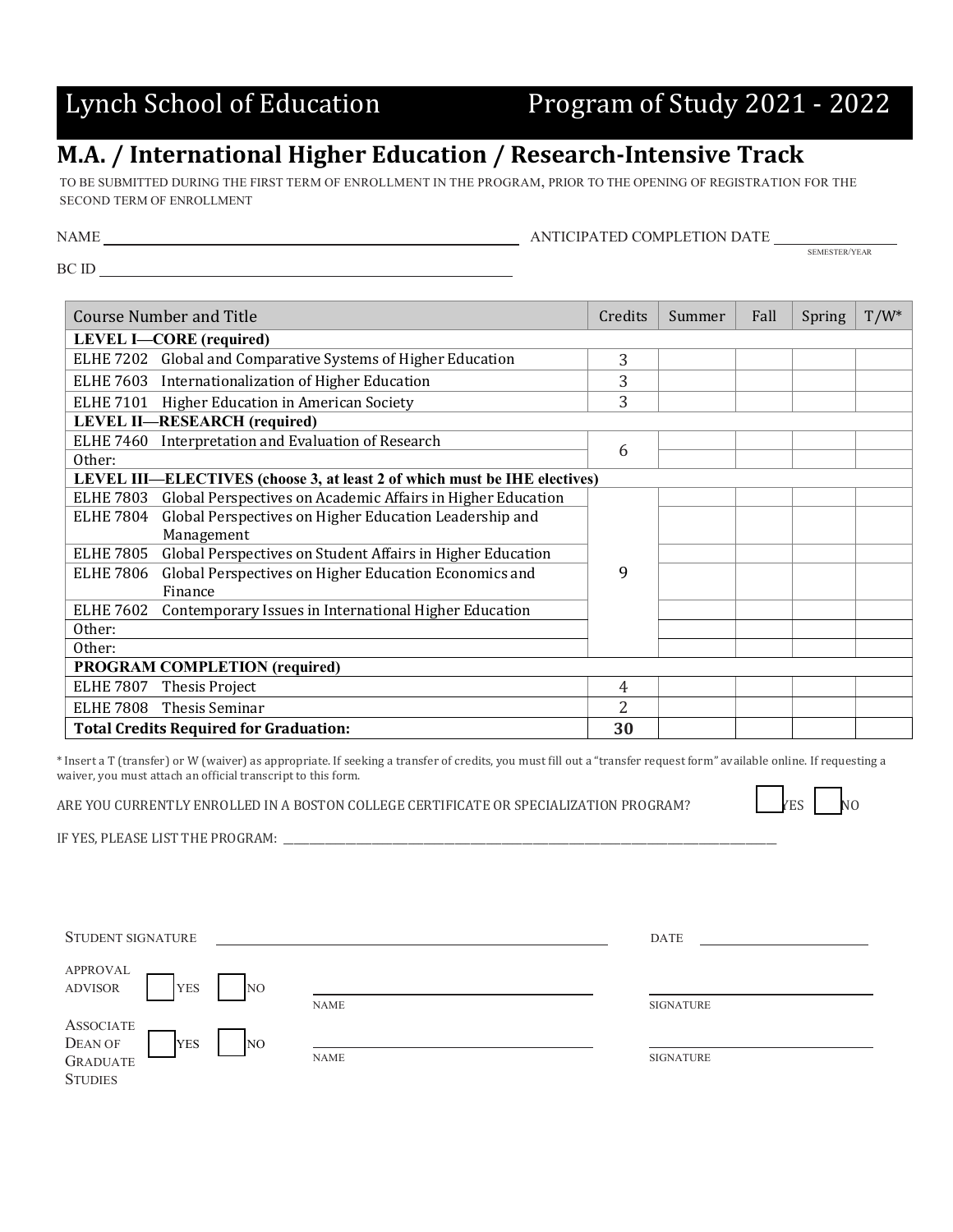## Lynch School of Education Program of Study 2021 - 2022

## **M.A. / International Higher Education / Research-Intensive Track**

TO BE SUBMITTED DURING THE FIRST TERM OF ENROLLMENT IN THE PROGRAM, PRIOR TO THE OPENING OF REGISTRATION FOR THE SECOND TERM OF ENROLLMENT

| NAME | ANTICIPATED COMPLETION DATF |               |
|------|-----------------------------|---------------|
|      |                             | SEMESTER/YEAR |

BC ID

| <b>Course Number and Title</b>                                                                 |                | Summer | Fall | Spring | $T/W^*$ |
|------------------------------------------------------------------------------------------------|----------------|--------|------|--------|---------|
| <b>LEVEL I-CORE</b> (required)                                                                 |                |        |      |        |         |
| Global and Comparative Systems of Higher Education<br><b>ELHE 7202</b>                         | 3              |        |      |        |         |
| ELHE 7603 Internationalization of Higher Education                                             | 3              |        |      |        |         |
| ELHE 7101 Higher Education in American Society                                                 | 3              |        |      |        |         |
| <b>LEVEL II-RESEARCH</b> (required)                                                            |                |        |      |        |         |
| Interpretation and Evaluation of Research<br><b>ELHE 7460</b>                                  | 6              |        |      |        |         |
| Other:                                                                                         |                |        |      |        |         |
| LEVEL III—ELECTIVES (choose 3, at least 2 of which must be IHE electives)                      |                |        |      |        |         |
| <b>ELHE 7803</b><br>Global Perspectives on Academic Affairs in Higher Education                |                |        |      |        |         |
| Global Perspectives on Higher Education Leadership and<br><b>ELHE 7804</b>                     |                |        |      |        |         |
| Management                                                                                     |                |        |      |        |         |
| <b>ELHE 7805</b><br>Global Perspectives on Student Affairs in Higher Education                 |                |        |      |        |         |
| Global Perspectives on Higher Education Economics and<br><b>ELHE 7806</b>                      | 9              |        |      |        |         |
| Finance<br><b>ELHE 7602</b><br>Contemporary Issues in International Higher Education<br>Other: |                |        |      |        |         |
|                                                                                                |                |        |      |        |         |
|                                                                                                |                |        |      |        |         |
| Other:                                                                                         |                |        |      |        |         |
| <b>PROGRAM COMPLETION (required)</b>                                                           |                |        |      |        |         |
| <b>ELHE 7807</b><br>Thesis Project                                                             | $\overline{4}$ |        |      |        |         |
| Thesis Seminar<br><b>ELHE 7808</b>                                                             | $\overline{2}$ |        |      |        |         |
| <b>Total Credits Required for Graduation:</b>                                                  |                |        |      |        |         |

\* Insert a T (transfer) or W (waiver) as appropriate. If seeking a transfer of credits, you must fill out a "transfer request form" available online. If requesting a waiver, you must attach an official transcript to this form.

ARE YOU CURRENTLY ENROLLED IN A BOSTON COLLEGE CERTIFICATE OR SPECIALIZATION PROGRAM? YES NO

IF YES, PLEASE LIST THE PROGRAM: \_

| STUDENT SIGNATURE                                                 |             | DATE             |
|-------------------------------------------------------------------|-------------|------------------|
| <b>APPROVAL</b><br><b>ADVISOR</b><br><b>YES</b><br>N <sub>O</sub> |             |                  |
|                                                                   | <b>NAME</b> | <b>SIGNATURE</b> |
| <b>ASSOCIATE</b><br>DEAN OF<br><b>YES</b><br>N <sub>O</sub>       |             |                  |
| <b>GRADUATE</b>                                                   | <b>NAME</b> | <b>SIGNATURE</b> |
| <b>STUDIES</b>                                                    |             |                  |